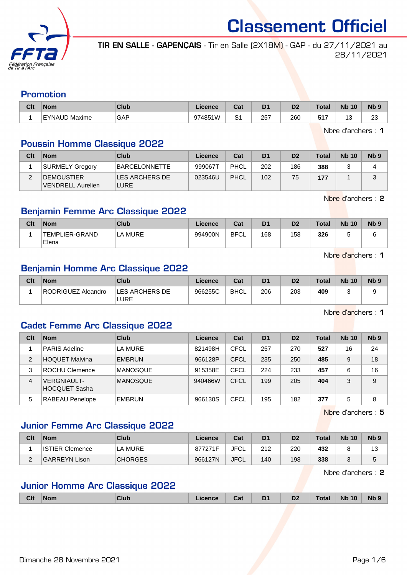

TIR EN SALLE - GAPENÇAIS - Tir en Salle (2X18M) - GAP - du 27/11/2021 au 28/11/2021

#### Promotion

| Clt | <b>Nom</b>    | <b>Club</b>   | Licence | ∩~'<br>⊍aι  | D <sub>1</sub> | D <sub>2</sub> | Total             | <b>N<sub>b</sub></b><br>10 | $Nb$ ?             |
|-----|---------------|---------------|---------|-------------|----------------|----------------|-------------------|----------------------------|--------------------|
|     | EYNAUD Maxime | GAP<br>$\sim$ | 974851W | $\sim$<br>ت | 257<br>__      | 260            | <b>EA7</b><br>JII | ັ                          | $\sim$<br>ںے<br>__ |

Nbre d'archers : 1

### Poussin Homme Classique 2022

| Clt | <b>Nom</b>                                      | Club                      | Licence | Cat  | D <sub>1</sub> | D <sub>2</sub> | <b>Total</b> | <b>Nb 10</b> | N <sub>b</sub> 9 |
|-----|-------------------------------------------------|---------------------------|---------|------|----------------|----------------|--------------|--------------|------------------|
|     | <b>SURMELY Gregory</b>                          | <b>BARCELONNETTE</b>      | 9990671 | PHCL | 202            | 186            | 388          |              |                  |
|     | <b>IDEMOUSTIER</b><br><b>IVENDRELL Aurelien</b> | !LES ARCHERS DE I<br>LURE | 023546U | PHCL | 102            | 75             | 177          |              | u                |

Nbre d'archers : 2

## Benjamin Femme Arc Classique 2022

| Clt | <b>Nom</b>              | Club    | Licence | Cat         | D1  | D2  | Total | <b>Nb 10</b> | N <sub>b</sub> <sub>9</sub> |
|-----|-------------------------|---------|---------|-------------|-----|-----|-------|--------------|-----------------------------|
|     | TEMPLIER-GRAND<br>Elena | LA MURE | 994900N | <b>BFCL</b> | 168 | 158 | 326   | $\sim$       |                             |

Nbre d'archers : 1

#### Benjamin Homme Arc Classique 2022

| Clt | <b>Nom</b>         | Club                           | Licence | Cat         | D <sub>1</sub> | D <sub>2</sub> | <b>Total</b> | <b>Nb 10</b> | N <sub>b</sub> <sub>9</sub> |
|-----|--------------------|--------------------------------|---------|-------------|----------------|----------------|--------------|--------------|-----------------------------|
|     | RODRIGUEZ Aleandro | <b>ILES ARCHERS DE</b><br>LURE | 966255C | <b>BHCL</b> | 206            | 203            | 409          |              |                             |

Nbre d'archers : 1

#### Cadet Femme Arc Classique 2022

| Clt            | <b>Nom</b>                   | Club            | Licence | Cat  | D <sub>1</sub> | D <sub>2</sub> | <b>Total</b> | <b>Nb 10</b> | Nb <sub>9</sub> |
|----------------|------------------------------|-----------------|---------|------|----------------|----------------|--------------|--------------|-----------------|
|                | PARIS Adeline                | <b>LA MURE</b>  | 821498H | CFCL | 257            | 270            | 527          | 16           | 24              |
| 2              | <b>HOQUET Malvina</b>        | <b>EMBRUN</b>   | 966128P | CFCL | 235            | 250            | 485          | 9            | 18              |
| 3              | ROCHU Clemence               | <b>MANOSQUE</b> | 915358E | CFCL | 224            | 233            | 457          | 6            | 16              |
| $\overline{4}$ | VERGNIAULT-<br>HOCQUET Sasha | <b>MANOSQUE</b> | 940466W | CFCL | 199            | 205            | 404          | 3            | 9               |
| 5              | <b>RABEAU Penelope</b>       | <b>EMBRUN</b>   | 966130S | CFCL | 195            | 182            | 377          | 5            | 8               |

Nbre d'archers : 5

## Junior Femme Arc Classique 2022

| Clt | <b>Nom</b>             | Club           | Licence | Cat  | D <sub>1</sub> | D <sub>2</sub> | <b>Total</b> | <b>Nb 10</b> | Nb 9 |
|-----|------------------------|----------------|---------|------|----------------|----------------|--------------|--------------|------|
|     | <b>ISTIER Clemence</b> | <b>LA MURE</b> | 877271F | JFCL | 212            | 220            | 432          |              | د. ا |
| -   | GARREYN Lison          | <b>CHORGES</b> | 966127N | JFCL | 140            | 198            | 338          |              |      |

Nbre d'archers : 2

## Junior Homme Arc Classique 2022

|  | <b>Clt</b> | <b>Nom</b><br>. | Club | TICL | Cat | D <sub>1</sub><br>-<br>$ -$ | n.<br>υZ | Tota. | 10<br><b>N<sub>F</sub></b> | Nb |
|--|------------|-----------------|------|------|-----|-----------------------------|----------|-------|----------------------------|----|
|--|------------|-----------------|------|------|-----|-----------------------------|----------|-------|----------------------------|----|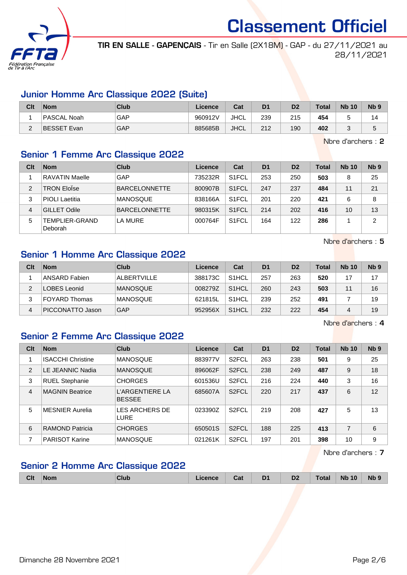

TIR EN SALLE - GAPENÇAIS - Tir en Salle (2X18M) - GAP - du 27/11/2021 au 28/11/2021

#### Junior Homme Arc Classique 2022 (Suite)

| Clt | <b>Nom</b>  | Club | Licence | Cat         | D <sub>1</sub> | D2  | <b>Total</b> | <b>Nb 10</b> | N <sub>b</sub> <sub>9</sub> |
|-----|-------------|------|---------|-------------|----------------|-----|--------------|--------------|-----------------------------|
|     | PASCAL Noah | GAP  | 960912V | <b>JHCL</b> | 239            | 215 | 454          |              |                             |
| _   | BESSET Evan | GAP  | 885685B | <b>JHCL</b> | 212            | 190 | 402          |              | J                           |

Nbre d'archers : 2

## Senior 1 Femme Arc Classique 2022

| Clt | <b>Nom</b>                | Club                 | Licence | Cat                | D <sub>1</sub> | D <sub>2</sub> | <b>Total</b> | <b>Nb 10</b> | Nb <sub>9</sub> |
|-----|---------------------------|----------------------|---------|--------------------|----------------|----------------|--------------|--------------|-----------------|
|     | <b>RAVATIN Maelle</b>     | GAP                  | 735232R | S <sub>1</sub> FCL | 253            | 250            | 503          | 8            | 25              |
| 2   | <b>TRON Eloïse</b>        | <b>BARCELONNETTE</b> | 800907B | S <sub>1</sub> FCL | 247            | 237            | 484          | 11           | 21              |
| 3   | <b>PIOLI</b> Laetitia     | <b>MANOSQUE</b>      | 838166A | S <sub>1</sub> FCL | 201            | 220            | 421          | 6            | 8               |
| 4   | <b>GILLET Odile</b>       | <b>BARCELONNETTE</b> | 980315K | S <sub>1</sub> FCL | 214            | 202            | 416          | 10           | 13              |
| 5   | TEMPLIER-GRAND<br>Deborah | LA MURE              | 000764F | S <sub>1</sub> FCL | 164            | 122            | 286          |              | 2               |

Nbre d'archers : 5

## Senior 1 Homme Arc Classique 2022

| Clt | <b>Nom</b>           | Club            | Licence | Cat                | D <sub>1</sub> | D <sub>2</sub> | Total | <b>Nb 10</b> | Nb <sub>9</sub> |
|-----|----------------------|-----------------|---------|--------------------|----------------|----------------|-------|--------------|-----------------|
|     | ANSARD Fabien        | ALBERTVILLE     | 388173C | S <sub>1</sub> HCL | 257            | 263            | 520   |              | 17              |
| っ   | LOBES Leonid         | <b>MANOSQUE</b> | 008279Z | S <sub>1</sub> HCL | 260            | 243            | 503   |              | 16              |
| 3   | <b>FOYARD Thomas</b> | <b>MANOSQUE</b> | 621815L | S <sub>1</sub> HCL | 239            | 252            | 491   |              | 19              |
| 4   | PICCONATTO Jason     | GAP             | 952956X | S <sub>1</sub> HCL | 232            | 222            | 454   | 4            | 19              |

Nbre d'archers : 4

## Senior 2 Femme Arc Classique 2022

| Clt            | <b>Nom</b>               | Club                             | Licence | Cat                | D <sub>1</sub> | D <sub>2</sub> | <b>Total</b> | <b>Nb 10</b> | Nb <sub>9</sub> |
|----------------|--------------------------|----------------------------------|---------|--------------------|----------------|----------------|--------------|--------------|-----------------|
|                | <b>ISACCHI Christine</b> | <b>MANOSQUE</b>                  | 883977V | S <sub>2</sub> FCL | 263            | 238            | 501          | 9            | 25              |
| 2              | LE JEANNIC Nadia         | <b>MANOSQUE</b>                  | 896062F | S <sub>2</sub> FCL | 238            | 249            | 487          | 9            | 18              |
| 3              | <b>RUEL Stephanie</b>    | <b>CHORGES</b>                   | 601536U | S <sub>2</sub> FCL | 216            | 224            | 440          | 3            | 16              |
| $\overline{4}$ | <b>MAGNIN Beatrice</b>   | L'ARGENTIERE LA<br><b>BESSEE</b> | 685607A | S <sub>2</sub> FCL | 220            | 217            | 437          | 6            | 12              |
| 5              | <b>MESNIER Aurelia</b>   | LES ARCHERS DE<br>LURE           | 023390Z | S <sub>2</sub> FCL | 219            | 208            | 427          | 5            | 13              |
| 6              | <b>RAMOND Patricia</b>   | <b>CHORGES</b>                   | 650501S | S <sub>2</sub> FCL | 188            | 225            | 413          | 7            | 6               |
| 7              | <b>PARISOT Karine</b>    | <b>MANOSQUE</b>                  | 021261K | S <sub>2</sub> FCL | 197            | 201            | 398          | 10           | 9               |

Nbre d'archers : 7

## Senior 2 Homme Arc Classique 2022

| <b>Clt</b> | <b>Nom</b> | Club | <b>Licence</b> | Cat | D <sub>1</sub><br>- - | D <sub>2</sub> | Total <sub>z</sub> | <b>Nb 10</b> | <b>Nb</b> |
|------------|------------|------|----------------|-----|-----------------------|----------------|--------------------|--------------|-----------|
|            |            |      |                |     |                       |                |                    |              |           |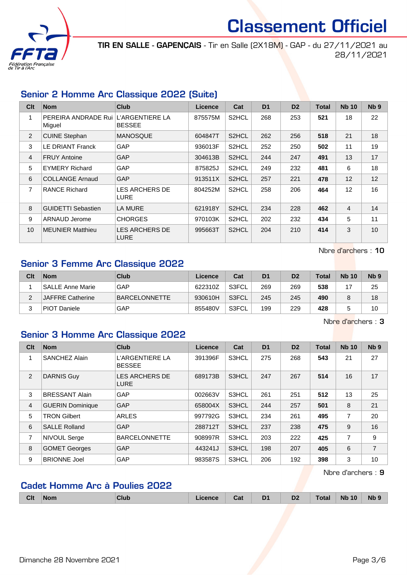

TIR EN SALLE - GAPENÇAIS - Tir en Salle (2X18M) - GAP - du 27/11/2021 au 28/11/2021

## Senior 2 Homme Arc Classique 2022 (Suite)

| C <sub>it</sub> | <b>Nom</b>                                    | Club                          | <b>Licence</b> | Cat                | D <sub>1</sub> | D <sub>2</sub> | <b>Total</b> | <b>Nb 10</b>   | Nb <sub>9</sub> |
|-----------------|-----------------------------------------------|-------------------------------|----------------|--------------------|----------------|----------------|--------------|----------------|-----------------|
| 1               | PEREIRA ANDRADE Rui L'ARGENTIERE LA<br>Miguel | <b>BESSEE</b>                 | 875575M        | S2HCL              | 268            | 253            | 521          | 18             | 22              |
| 2               | <b>CUINE Stephan</b>                          | <b>MANOSQUE</b>               | 604847T        | S2HCL              | 262            | 256            | 518          | 21             | 18              |
| 3               | <b>LE DRIANT Franck</b>                       | <b>GAP</b>                    | 936013F        | S2HCL              | 252            | 250            | 502          | 11             | 19              |
| 4               | <b>FRUY Antoine</b>                           | <b>GAP</b>                    | 304613B        | S <sub>2</sub> HCL | 244            | 247            | 491          | 13             | 17              |
| 5               | <b>EYMERY Richard</b>                         | GAP                           | 875825J        | S2HCL              | 249            | 232            | 481          | 6              | 18              |
| 6               | <b>COLLANGE Arnaud</b>                        | <b>GAP</b>                    | 913511X        | S2HCL              | 257            | 221            | 478          | 12             | 12              |
| 7               | <b>RANCE Richard</b>                          | LES ARCHERS DE<br><b>LURE</b> | 804252M        | S2HCL              | 258            | 206            | 464          | 12             | 16              |
| 8               | <b>GUIDETTI Sebastien</b>                     | <b>LA MURE</b>                | 621918Y        | S2HCL              | 234            | 228            | 462          | $\overline{4}$ | 14              |
| 9               | ARNAUD Jerome                                 | <b>CHORGES</b>                | 970103K        | S2HCL              | 202            | 232            | 434          | 5              | 11              |
| 10              | <b>MEUNIER Matthieu</b>                       | LES ARCHERS DE<br><b>LURE</b> | 995663T        | S <sub>2</sub> HCL | 204            | 210            | 414          | 3              | 10              |

Nbre d'archers : 10

## Senior 3 Femme Arc Classique 2022

| Clt | <b>Nom</b>              | Club          | Licence | Cat   | D <sub>1</sub> | D <sub>2</sub> | <b>Total</b> | <b>Nb 10</b> | N <sub>b</sub> <sub>9</sub> |
|-----|-------------------------|---------------|---------|-------|----------------|----------------|--------------|--------------|-----------------------------|
|     | SALLE Anne Marie        | GAP           | 622310Z | S3FCL | 269            | 269            | 538          |              | 25                          |
| C   | <b>JAFFRE Catherine</b> | BARCELONNETTE | 930610H | S3FCL | 245            | 245            | 490          |              | 18                          |
|     | PIOT Daniele            | GAP           | 855480V | S3FCL | 199            | 229            | 428          |              | 10                          |

Nbre d'archers : 3

## Senior 3 Homme Arc Classique 2022

| Clt | <b>Nom</b>              | <b>Club</b>                             | Licence | Cat   | D <sub>1</sub> | D <sub>2</sub> | <b>Total</b> | <b>Nb 10</b> | N <sub>b</sub> <sub>9</sub> |
|-----|-------------------------|-----------------------------------------|---------|-------|----------------|----------------|--------------|--------------|-----------------------------|
| 1   | SANCHEZ Alain           | <b>L'ARGENTIERE LA</b><br><b>BESSEE</b> | 391396F | S3HCL | 275            | 268            | 543          | 21           | 27                          |
| 2   | <b>DARNIS Guy</b>       | <b>LES ARCHERS DE</b><br><b>LURE</b>    | 689173B | S3HCL | 247            | 267            | 514          | 16           | 17                          |
| 3   | <b>BRESSANT Alain</b>   | GAP                                     | 002663V | S3HCL | 261            | 251            | 512          | 13           | 25                          |
| 4   | <b>GUERIN Dominique</b> | <b>GAP</b>                              | 658004X | S3HCL | 244            | 257            | 501          | 8            | 21                          |
| 5   | <b>TRON Gilbert</b>     | <b>ARLES</b>                            | 997792G | S3HCL | 234            | 261            | 495          | 7            | 20                          |
| 6   | <b>SALLE Rolland</b>    | <b>GAP</b>                              | 288712T | S3HCL | 237            | 238            | 475          | 9            | 16                          |
| 7   | <b>NIVOUL Serge</b>     | <b>BARCELONNETTE</b>                    | 908997R | S3HCL | 203            | 222            | 425          | 7            | 9                           |
| 8   | <b>GOMET Georges</b>    | <b>GAP</b>                              | 443241J | S3HCL | 198            | 207            | 405          | 6            | $\overline{7}$              |
| 9   | <b>BRIONNE Joel</b>     | <b>GAP</b>                              | 983587S | S3HCL | 206            | 192            | 398          | 3            | 10                          |

Nbre d'archers : 9

## Cadet Homme Arc à Poulies 2022

| Clt | <b>Nom</b> | <b>Club</b> | icence | Cat | D <sub>1</sub><br>$\sim$ . | D <sub>2</sub> | Total | 10<br><b>Nb</b> | Nb s |
|-----|------------|-------------|--------|-----|----------------------------|----------------|-------|-----------------|------|
|     |            |             |        |     |                            |                |       |                 |      |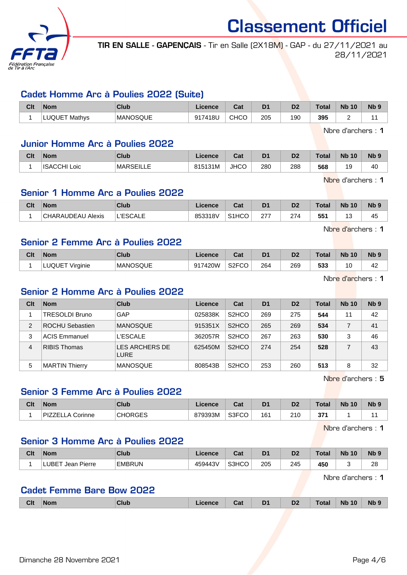

TIR EN SALLE - GAPENÇAIS - Tir en Salle (2X18M) - GAP - du 27/11/2021 au 28/11/2021

#### Cadet Homme Arc à Poulies 2022 (Suite)

| Clt | <b>Nom</b>       | <b>Club</b> | icence        | ◠؞+<br>udl | D1  | D <sub>2</sub> | $\tau$ otal | <b>N<sub>b</sub></b><br>10 | N <sub>b</sub> <sub>9</sub> |
|-----|------------------|-------------|---------------|------------|-----|----------------|-------------|----------------------------|-----------------------------|
|     | LUQUET<br>Mathvs | MANOSQUE    | '418L<br>Q17. | CHCO       | 205 | 190            | 395         | -                          |                             |

Nbre d'archers : 1

#### Junior Homme Arc à Poulies 2022

| Clt | <b>Nom</b>             | <b>Club</b>      | .icence | ີາ<br>⊍a.   | D <sub>1</sub> | D <sub>2</sub> | Total | <b>Nb</b><br>10 | N <sub>b</sub> <sub>9</sub> |
|-----|------------------------|------------------|---------|-------------|----------------|----------------|-------|-----------------|-----------------------------|
|     | <b>ISACCHI</b><br>Loic | <b>MARSEILLE</b> | 815131M | <b>JHCO</b> | 280            | 288            | 568   | 1 C<br>÷        | 40                          |

Nbre d'archers : 1

## Senior 1 Homme Arc a Poulies 2022

| <b>Clt</b> | <b>Nom</b>               | <b>Club</b>     | .icence | ו ה<br>⊍a          | D <sub>1</sub> | D <sub>2</sub> | <b>Total</b> | <b>Nb</b><br>10 | <b>Nb</b>  |
|------------|--------------------------|-----------------|---------|--------------------|----------------|----------------|--------------|-----------------|------------|
|            | <b>CHARAUDEAU Alexis</b> | 그 너도 아이가 다<br>~ | 853318V | S <sub>1</sub> HCO | ^77<br>21      | 274            | 551          | ں<br>$\sim$     | . .<br>-45 |

Nbre d'archers : 1

#### Senior 2 Femme Arc à Poulies 2022

| Clt | <b>Nom</b>                     | <b>Club</b> | Licence | ו ה<br>ual         | D <sub>1</sub> | D <sub>2</sub> | $\tau$ otal | <b>N<sub>b</sub></b><br>10 | <b>N<sub>b</sub></b> |
|-----|--------------------------------|-------------|---------|--------------------|----------------|----------------|-------------|----------------------------|----------------------|
|     | LUQUE <sup>-</sup><br>Virginie | MANOSQUE    | 917420W | S <sub>2</sub> FCO | 264            | 269            | 533         | 0                          | 42                   |

Nbre d'archers : 1

#### Senior 2 Homme Arc à Poulies 2022

| Clt | <b>Nom</b>             | Club                          | Licence | Cat                | D <sub>1</sub> | D <sub>2</sub> | Total | <b>Nb 10</b> | N <sub>b</sub> <sub>9</sub> |
|-----|------------------------|-------------------------------|---------|--------------------|----------------|----------------|-------|--------------|-----------------------------|
|     | TRESOLDI Bruno         | GAP                           | 025838K | S <sub>2</sub> HCO | 269            | 275            | 544   | 11           | 42                          |
| 2   | <b>ROCHU Sebastien</b> | <b>MANOSQUE</b>               | 915351X | S <sub>2</sub> HCO | 265            | 269            | 534   |              | 41                          |
| 3   | <b>ACIS Emmanuel</b>   | <b>L'ESCALE</b>               | 362057R | S <sub>2</sub> HCO | 267            | 263            | 530   | 3            | 46                          |
| 4   | <b>RIBIS Thomas</b>    | LES ARCHERS DE<br><b>LURE</b> | 625450M | S <sub>2</sub> HCO | 274            | 254            | 528   |              | 43                          |
| 5   | <b>MARTIN Thierry</b>  | <b>MANOSQUE</b>               | 808543B | S <sub>2</sub> HCO | 253            | 260            | 513   | 8            | 32                          |

Nbre d'archers : 5

#### Senior 3 Femme Arc à Poulies 2022

| Clt | <b>Nom</b>           | <b>Club</b>    | Licence | Cat   | D1  | D <sub>2</sub> | Total          | <b>N<sub>b</sub></b><br>10 | N <sub>b</sub> <sub>9</sub> |
|-----|----------------------|----------------|---------|-------|-----|----------------|----------------|----------------------------|-----------------------------|
|     | PIZZEL<br>∟A Corinne | <b>CHORGES</b> | 879393M | S3FCO | 161 | 210            | 274<br>- J I - |                            |                             |

Nbre d'archers : 1

#### Senior 3 Homme Arc à Poulies 2022

| Clt | <b>Nom</b>           | Club          | Licence | Cat   | D <sub>1</sub> | D <sub>2</sub> | $\tau$ otal | <b>N<sub>b</sub></b><br>10 | N <sub>b</sub> <sub>9</sub> |
|-----|----------------------|---------------|---------|-------|----------------|----------------|-------------|----------------------------|-----------------------------|
|     | LUBET<br>Jean Pierre | <b>EMBRUN</b> | 459443V | S3HCO | 205            | 245            | 450         |                            | റ<br>∠c<br>__               |

Nbre d'archers : 1

#### Cadet Femme Bare Bow 2022

| <b>Clt</b> | <b>Nom</b> | Club | Licence | Cat | D <sub>1</sub> | D <sub>2</sub> | Total | 10 <sup>°</sup><br><b>N<sub>b</sub></b> | Nb |
|------------|------------|------|---------|-----|----------------|----------------|-------|-----------------------------------------|----|
|            |            |      |         |     |                |                |       |                                         |    |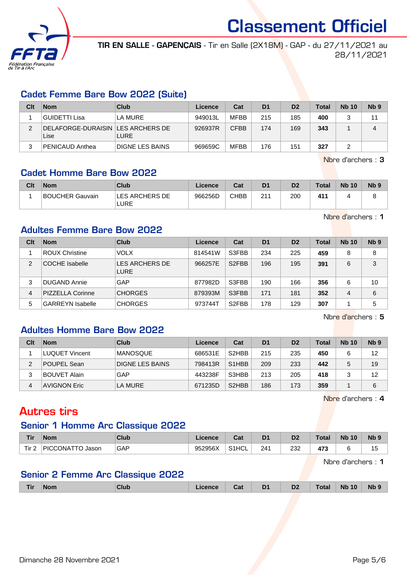

TIR EN SALLE - GAPENÇAIS - Tir en Salle (2X18M) - GAP - du 27/11/2021 au 28/11/2021

## Cadet Femme Bare Bow 2022 (Suite)

| Clt | <b>Nom</b>                                  | Club                   | Licence | Cat         | D <sub>1</sub> | D <sub>2</sub> | <b>Total</b> | <b>Nb 10</b> | Nb <sub>9</sub> |
|-----|---------------------------------------------|------------------------|---------|-------------|----------------|----------------|--------------|--------------|-----------------|
|     | GUIDETTI Lisa                               | LA MURE                | 949013L | <b>MFBB</b> | 215            | 185            | 400          |              | 11              |
| ົ   | DELAFORGE-DURAISIN   LES ARCHERS DE<br>Lise | <b>LURE</b>            | 926937R | <b>CFBB</b> | 174            | 169            | 343          |              |                 |
| 3   | PENICAUD Anthea                             | <b>DIGNE LES BAINS</b> | 969659C | MFBB        | 176            | 151            | 327          |              |                 |

Nbre d'archers : 3

## Cadet Homme Bare Bow 2022

| Clt | <b>Nom</b>             | Club                   | Licence | Cat         | D <sub>1</sub> | D <sub>2</sub> | <b>Total</b> | <b>Nb 10</b> | N <sub>b</sub> <sub>9</sub> |
|-----|------------------------|------------------------|---------|-------------|----------------|----------------|--------------|--------------|-----------------------------|
|     | <b>BOUCHER Gauvain</b> | LES ARCHERS DE<br>LURE | 966256D | <b>CHBB</b> | 211            | 200            | 41'          |              |                             |

Nbre d'archers : 1

## Adultes Femme Bare Bow 2022

| Clt            | <b>Nom</b>              | Club                          | Licence | Cat                | D <sub>1</sub> | D <sub>2</sub> | <b>Total</b> | <b>Nb 10</b> | Nb <sub>9</sub> |
|----------------|-------------------------|-------------------------------|---------|--------------------|----------------|----------------|--------------|--------------|-----------------|
|                | <b>ROUX Christine</b>   | <b>VOLX</b>                   | 814541W | S3FBB              | 234            | 225            | 459          | 8            | 8               |
| $\overline{2}$ | <b>COCHE</b> Isabelle   | LES ARCHERS DE<br><b>LURE</b> | 966257E | S <sub>2</sub> FBB | 196            | 195            | 391          | 6            | 3               |
| 3              | <b>DUGAND Annie</b>     | GAP                           | 877982D | S3FBB              | 190            | 166            | 356          | 6            | 10              |
| 4              | <b>PIZZELLA Corinne</b> | <b>CHORGES</b>                | 879393M | S3FBB              | 171            | 181            | 352          | 4            | 6               |
| 5              | <b>GARREYN Isabelle</b> | <b>CHORGES</b>                | 973744T | S <sub>2</sub> FBB | 178            | 129            | 307          |              | 5               |

Nbre d'archers : 5

## Adultes Homme Bare Bow 2022

| Clt | <b>Nom</b>            | Club             | Licence | Cat                            | D <sub>1</sub> | D <sub>2</sub> | <b>Total</b> | <b>Nb 10</b> | N <sub>b</sub> <sub>9</sub> |
|-----|-----------------------|------------------|---------|--------------------------------|----------------|----------------|--------------|--------------|-----------------------------|
|     | <b>LUQUET Vincent</b> | <b>IMANOSQUE</b> | 686531E | S <sub>2</sub> HBB             | 215            | 235            | 450          |              | 12                          |
| 2   | POUPEL Sean           | DIGNE LES BAINS  | 798413R | S <sub>1</sub> H <sub>BB</sub> | 209            | 233            | 442          |              | 19                          |
|     | <b>BOUVET Alain</b>   | GAP              | 443238F | S3HBB                          | 213            | 205            | 418          |              | 12                          |
| 4   | <b>AVIGNON Eric</b>   | LA MURE          | 671235D | S <sub>2</sub> HBB             | 186            | 173            | 359          |              | 6                           |

Nbre d'archers : 4

## Autres tirs

## Senior 1 Homme Arc Classique 2022

| <b>Tir</b>       | <b>Nom</b>                 | Club | icence  | ⊶ ∼<br>uai | D <sub>1</sub> | D <sub>2</sub>       | Total            | <b>Nb</b><br>10 | <b>Nb</b> |
|------------------|----------------------------|------|---------|------------|----------------|----------------------|------------------|-----------------|-----------|
| Tir <sub>2</sub> | <b>PICCONATTO</b><br>Jasor | GAP  | 952956X | S1HCL      | 241            | רכר<br>∠د∠<br>$\sim$ | 170<br>470<br>__ |                 | ں ا       |

Nbre d'archers : 1

## Senior 2 Femme Arc Classique 2022

| Tir | Nom | <b>Club</b> | <b>cence</b> | Cat | D <sub>1</sub><br>- - | D <sub>2</sub> | Гоtal | <b>Nb 10</b> | <b>Nb</b> |
|-----|-----|-------------|--------------|-----|-----------------------|----------------|-------|--------------|-----------|
|     |     |             |              |     |                       |                |       |              |           |